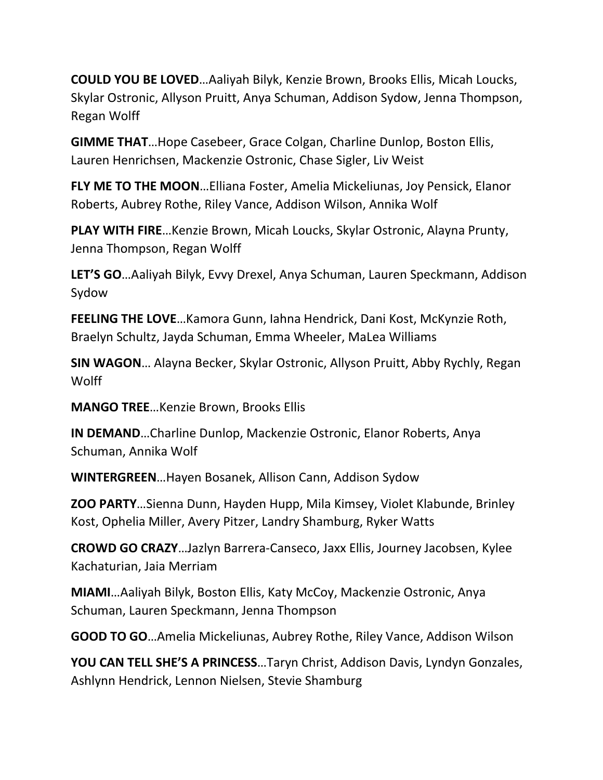**COULD YOU BE LOVED**…Aaliyah Bilyk, Kenzie Brown, Brooks Ellis, Micah Loucks, Skylar Ostronic, Allyson Pruitt, Anya Schuman, Addison Sydow, Jenna Thompson, Regan Wolff

**GIMME THAT**…Hope Casebeer, Grace Colgan, Charline Dunlop, Boston Ellis, Lauren Henrichsen, Mackenzie Ostronic, Chase Sigler, Liv Weist

**FLY ME TO THE MOON**…Elliana Foster, Amelia Mickeliunas, Joy Pensick, Elanor Roberts, Aubrey Rothe, Riley Vance, Addison Wilson, Annika Wolf

**PLAY WITH FIRE**…Kenzie Brown, Micah Loucks, Skylar Ostronic, Alayna Prunty, Jenna Thompson, Regan Wolff

**LET'S GO**…Aaliyah Bilyk, Evvy Drexel, Anya Schuman, Lauren Speckmann, Addison Sydow

**FEELING THE LOVE**…Kamora Gunn, Iahna Hendrick, Dani Kost, McKynzie Roth, Braelyn Schultz, Jayda Schuman, Emma Wheeler, MaLea Williams

**SIN WAGON**… Alayna Becker, Skylar Ostronic, Allyson Pruitt, Abby Rychly, Regan **Wolff** 

**MANGO TREE**…Kenzie Brown, Brooks Ellis

**IN DEMAND**…Charline Dunlop, Mackenzie Ostronic, Elanor Roberts, Anya Schuman, Annika Wolf

**WINTERGREEN**…Hayen Bosanek, Allison Cann, Addison Sydow

**ZOO PARTY**…Sienna Dunn, Hayden Hupp, Mila Kimsey, Violet Klabunde, Brinley Kost, Ophelia Miller, Avery Pitzer, Landry Shamburg, Ryker Watts

**CROWD GO CRAZY**…Jazlyn Barrera-Canseco, Jaxx Ellis, Journey Jacobsen, Kylee Kachaturian, Jaia Merriam

**MIAMI**…Aaliyah Bilyk, Boston Ellis, Katy McCoy, Mackenzie Ostronic, Anya Schuman, Lauren Speckmann, Jenna Thompson

**GOOD TO GO**…Amelia Mickeliunas, Aubrey Rothe, Riley Vance, Addison Wilson

**YOU CAN TELL SHE'S A PRINCESS**…Taryn Christ, Addison Davis, Lyndyn Gonzales, Ashlynn Hendrick, Lennon Nielsen, Stevie Shamburg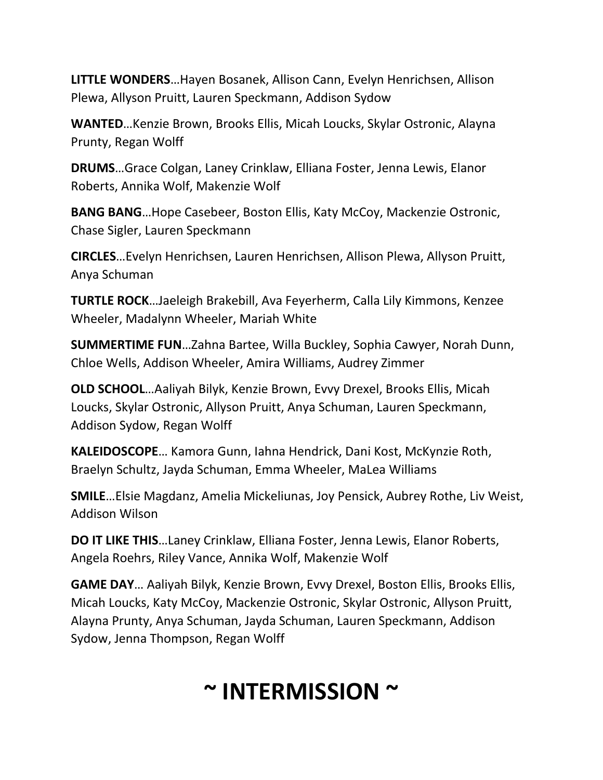**LITTLE WONDERS**…Hayen Bosanek, Allison Cann, Evelyn Henrichsen, Allison Plewa, Allyson Pruitt, Lauren Speckmann, Addison Sydow

**WANTED**…Kenzie Brown, Brooks Ellis, Micah Loucks, Skylar Ostronic, Alayna Prunty, Regan Wolff

**DRUMS**…Grace Colgan, Laney Crinklaw, Elliana Foster, Jenna Lewis, Elanor Roberts, Annika Wolf, Makenzie Wolf

**BANG BANG**…Hope Casebeer, Boston Ellis, Katy McCoy, Mackenzie Ostronic, Chase Sigler, Lauren Speckmann

**CIRCLES**…Evelyn Henrichsen, Lauren Henrichsen, Allison Plewa, Allyson Pruitt, Anya Schuman

**TURTLE ROCK**…Jaeleigh Brakebill, Ava Feyerherm, Calla Lily Kimmons, Kenzee Wheeler, Madalynn Wheeler, Mariah White

**SUMMERTIME FUN**…Zahna Bartee, Willa Buckley, Sophia Cawyer, Norah Dunn, Chloe Wells, Addison Wheeler, Amira Williams, Audrey Zimmer

**OLD SCHOOL**…Aaliyah Bilyk, Kenzie Brown, Evvy Drexel, Brooks Ellis, Micah Loucks, Skylar Ostronic, Allyson Pruitt, Anya Schuman, Lauren Speckmann, Addison Sydow, Regan Wolff

**KALEIDOSCOPE**… Kamora Gunn, Iahna Hendrick, Dani Kost, McKynzie Roth, Braelyn Schultz, Jayda Schuman, Emma Wheeler, MaLea Williams

**SMILE**…Elsie Magdanz, Amelia Mickeliunas, Joy Pensick, Aubrey Rothe, Liv Weist, Addison Wilson

**DO IT LIKE THIS**…Laney Crinklaw, Elliana Foster, Jenna Lewis, Elanor Roberts, Angela Roehrs, Riley Vance, Annika Wolf, Makenzie Wolf

**GAME DAY**… Aaliyah Bilyk, Kenzie Brown, Evvy Drexel, Boston Ellis, Brooks Ellis, Micah Loucks, Katy McCoy, Mackenzie Ostronic, Skylar Ostronic, Allyson Pruitt, Alayna Prunty, Anya Schuman, Jayda Schuman, Lauren Speckmann, Addison Sydow, Jenna Thompson, Regan Wolff

## **~ INTERMISSION ~**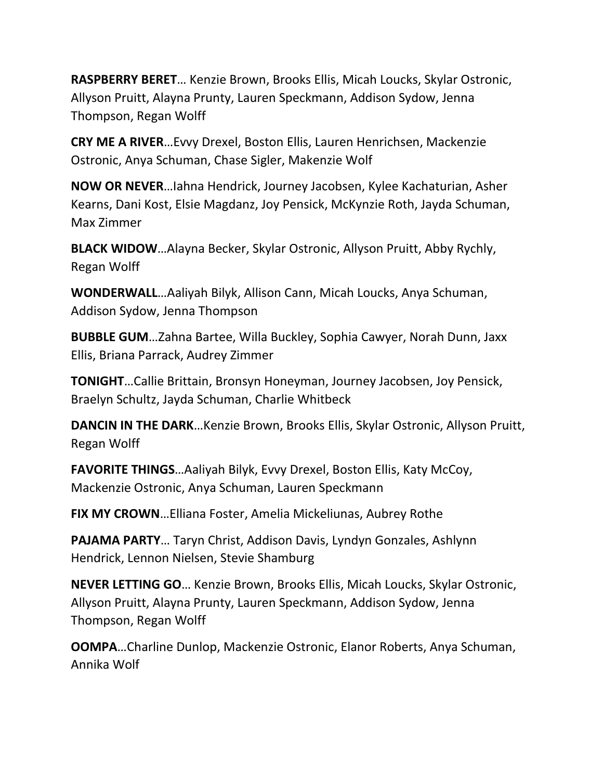**RASPBERRY BERET**… Kenzie Brown, Brooks Ellis, Micah Loucks, Skylar Ostronic, Allyson Pruitt, Alayna Prunty, Lauren Speckmann, Addison Sydow, Jenna Thompson, Regan Wolff

**CRY ME A RIVER**…Evvy Drexel, Boston Ellis, Lauren Henrichsen, Mackenzie Ostronic, Anya Schuman, Chase Sigler, Makenzie Wolf

**NOW OR NEVER**…Iahna Hendrick, Journey Jacobsen, Kylee Kachaturian, Asher Kearns, Dani Kost, Elsie Magdanz, Joy Pensick, McKynzie Roth, Jayda Schuman, Max Zimmer

**BLACK WIDOW**…Alayna Becker, Skylar Ostronic, Allyson Pruitt, Abby Rychly, Regan Wolff

**WONDERWALL**…Aaliyah Bilyk, Allison Cann, Micah Loucks, Anya Schuman, Addison Sydow, Jenna Thompson

**BUBBLE GUM**…Zahna Bartee, Willa Buckley, Sophia Cawyer, Norah Dunn, Jaxx Ellis, Briana Parrack, Audrey Zimmer

**TONIGHT**…Callie Brittain, Bronsyn Honeyman, Journey Jacobsen, Joy Pensick, Braelyn Schultz, Jayda Schuman, Charlie Whitbeck

**DANCIN IN THE DARK**…Kenzie Brown, Brooks Ellis, Skylar Ostronic, Allyson Pruitt, Regan Wolff

**FAVORITE THINGS**…Aaliyah Bilyk, Evvy Drexel, Boston Ellis, Katy McCoy, Mackenzie Ostronic, Anya Schuman, Lauren Speckmann

**FIX MY CROWN**…Elliana Foster, Amelia Mickeliunas, Aubrey Rothe

**PAJAMA PARTY**… Taryn Christ, Addison Davis, Lyndyn Gonzales, Ashlynn Hendrick, Lennon Nielsen, Stevie Shamburg

**NEVER LETTING GO**… Kenzie Brown, Brooks Ellis, Micah Loucks, Skylar Ostronic, Allyson Pruitt, Alayna Prunty, Lauren Speckmann, Addison Sydow, Jenna Thompson, Regan Wolff

**OOMPA**…Charline Dunlop, Mackenzie Ostronic, Elanor Roberts, Anya Schuman, Annika Wolf